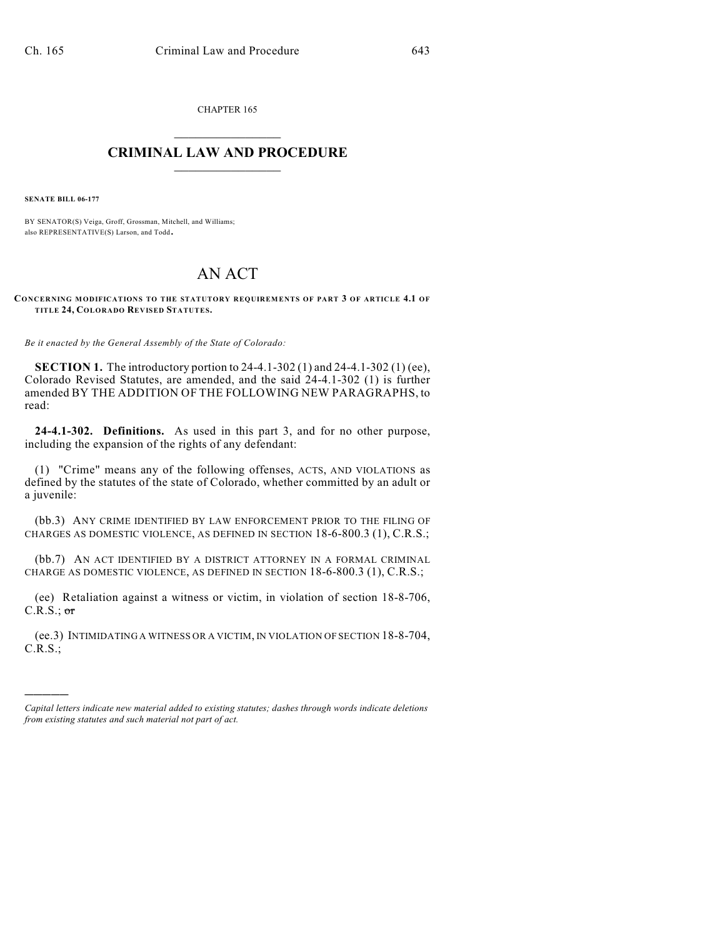CHAPTER 165  $\mathcal{L}_\text{max}$  . The set of the set of the set of the set of the set of the set of the set of the set of the set of the set of the set of the set of the set of the set of the set of the set of the set of the set of the set

## **CRIMINAL LAW AND PROCEDURE**  $\frac{1}{2}$  ,  $\frac{1}{2}$  ,  $\frac{1}{2}$  ,  $\frac{1}{2}$  ,  $\frac{1}{2}$  ,  $\frac{1}{2}$  ,  $\frac{1}{2}$

**SENATE BILL 06-177**

)))))

BY SENATOR(S) Veiga, Groff, Grossman, Mitchell, and Williams; also REPRESENTATIVE(S) Larson, and Todd.

## AN ACT

**CONCERNING MODIFICATIONS TO THE STATUTORY REQUIREMENTS OF PART 3 OF ARTICLE 4.1 OF TITLE 24, COLORADO REVISED STATUTES.**

*Be it enacted by the General Assembly of the State of Colorado:*

**SECTION 1.** The introductory portion to 24-4.1-302 (1) and 24-4.1-302 (1) (ee), Colorado Revised Statutes, are amended, and the said 24-4.1-302 (1) is further amended BY THE ADDITION OF THE FOLLOWING NEW PARAGRAPHS, to read:

**24-4.1-302. Definitions.** As used in this part 3, and for no other purpose, including the expansion of the rights of any defendant:

(1) "Crime" means any of the following offenses, ACTS, AND VIOLATIONS as defined by the statutes of the state of Colorado, whether committed by an adult or a juvenile:

(bb.3) ANY CRIME IDENTIFIED BY LAW ENFORCEMENT PRIOR TO THE FILING OF CHARGES AS DOMESTIC VIOLENCE, AS DEFINED IN SECTION 18-6-800.3 (1), C.R.S.;

(bb.7) AN ACT IDENTIFIED BY A DISTRICT ATTORNEY IN A FORMAL CRIMINAL CHARGE AS DOMESTIC VIOLENCE, AS DEFINED IN SECTION 18-6-800.3 (1), C.R.S.;

(ee) Retaliation against a witness or victim, in violation of section 18-8-706,  $C.R.S.:$  or

(ee.3) INTIMIDATING A WITNESS OR A VICTIM, IN VIOLATION OF SECTION 18-8-704, C.R.S.;

*Capital letters indicate new material added to existing statutes; dashes through words indicate deletions from existing statutes and such material not part of act.*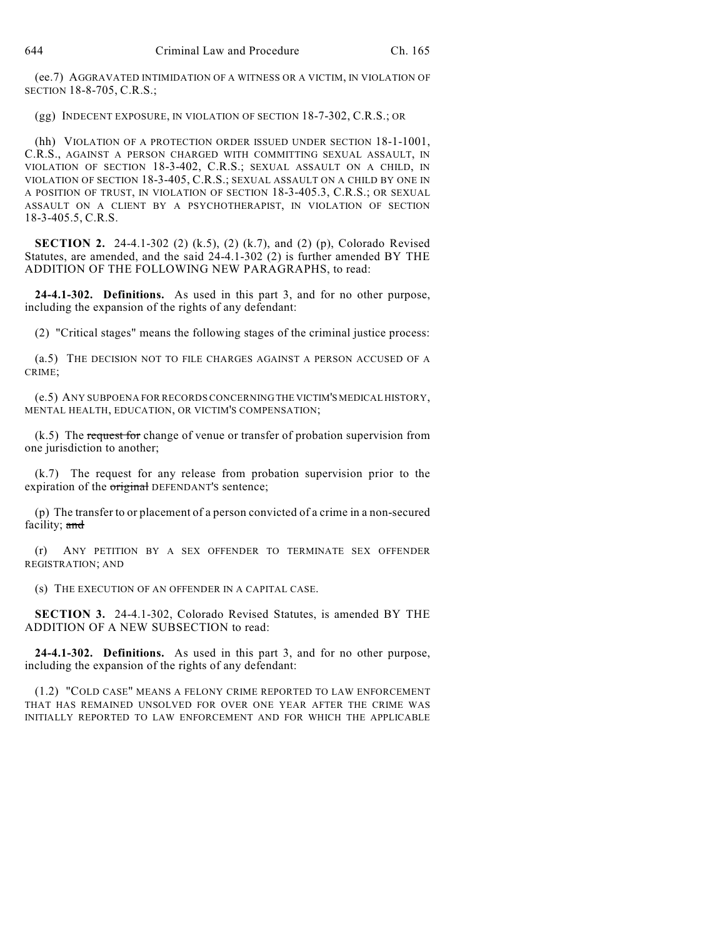(ee.7) AGGRAVATED INTIMIDATION OF A WITNESS OR A VICTIM, IN VIOLATION OF SECTION 18-8-705, C.R.S.;

(gg) INDECENT EXPOSURE, IN VIOLATION OF SECTION 18-7-302, C.R.S.; OR

(hh) VIOLATION OF A PROTECTION ORDER ISSUED UNDER SECTION 18-1-1001, C.R.S., AGAINST A PERSON CHARGED WITH COMMITTING SEXUAL ASSAULT, IN VIOLATION OF SECTION 18-3-402, C.R.S.; SEXUAL ASSAULT ON A CHILD, IN VIOLATION OF SECTION 18-3-405, C.R.S.; SEXUAL ASSAULT ON A CHILD BY ONE IN A POSITION OF TRUST, IN VIOLATION OF SECTION 18-3-405.3, C.R.S.; OR SEXUAL ASSAULT ON A CLIENT BY A PSYCHOTHERAPIST, IN VIOLATION OF SECTION 18-3-405.5, C.R.S.

**SECTION 2.** 24-4.1-302 (2) (k.5), (2) (k.7), and (2) (p), Colorado Revised Statutes, are amended, and the said 24-4.1-302 (2) is further amended BY THE ADDITION OF THE FOLLOWING NEW PARAGRAPHS, to read:

**24-4.1-302. Definitions.** As used in this part 3, and for no other purpose, including the expansion of the rights of any defendant:

(2) "Critical stages" means the following stages of the criminal justice process:

(a.5) THE DECISION NOT TO FILE CHARGES AGAINST A PERSON ACCUSED OF A CRIME;

(e.5) ANY SUBPOENA FOR RECORDS CONCERNING THE VICTIM'S MEDICAL HISTORY, MENTAL HEALTH, EDUCATION, OR VICTIM'S COMPENSATION;

 $(k.5)$  The request for change of venue or transfer of probation supervision from one jurisdiction to another;

(k.7) The request for any release from probation supervision prior to the expiration of the *original* DEFENDANT'S sentence;

(p) The transfer to or placement of a person convicted of a crime in a non-secured facility; and

(r) ANY PETITION BY A SEX OFFENDER TO TERMINATE SEX OFFENDER REGISTRATION; AND

(s) THE EXECUTION OF AN OFFENDER IN A CAPITAL CASE.

**SECTION 3.** 24-4.1-302, Colorado Revised Statutes, is amended BY THE ADDITION OF A NEW SUBSECTION to read:

**24-4.1-302. Definitions.** As used in this part 3, and for no other purpose, including the expansion of the rights of any defendant:

(1.2) "COLD CASE" MEANS A FELONY CRIME REPORTED TO LAW ENFORCEMENT THAT HAS REMAINED UNSOLVED FOR OVER ONE YEAR AFTER THE CRIME WAS INITIALLY REPORTED TO LAW ENFORCEMENT AND FOR WHICH THE APPLICABLE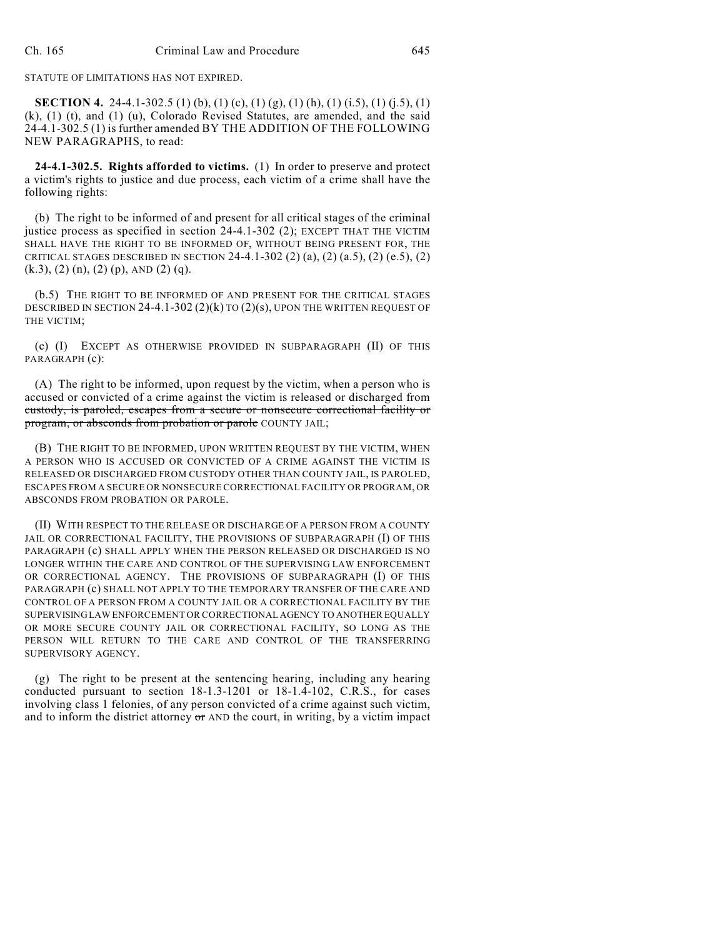## STATUTE OF LIMITATIONS HAS NOT EXPIRED.

**SECTION 4.** 24-4.1-302.5 (1) (b), (1) (c), (1) (g), (1) (h), (1) (i.5), (1) (j.5), (1) (k), (1) (t), and (1) (u), Colorado Revised Statutes, are amended, and the said 24-4.1-302.5 (1) is further amended BY THE ADDITION OF THE FOLLOWING NEW PARAGRAPHS, to read:

**24-4.1-302.5. Rights afforded to victims.** (1) In order to preserve and protect a victim's rights to justice and due process, each victim of a crime shall have the following rights:

(b) The right to be informed of and present for all critical stages of the criminal justice process as specified in section 24-4.1-302 (2); EXCEPT THAT THE VICTIM SHALL HAVE THE RIGHT TO BE INFORMED OF, WITHOUT BEING PRESENT FOR, THE CRITICAL STAGES DESCRIBED IN SECTION 24-4.1-302 (2) (a), (2) (a.5), (2) (e.5), (2)  $(k.3)$ ,  $(2)$   $(n)$ ,  $(2)$   $(p)$ , AND  $(2)$   $(q)$ .

(b.5) THE RIGHT TO BE INFORMED OF AND PRESENT FOR THE CRITICAL STAGES DESCRIBED IN SECTION  $24-4.1-302(2)(k)$  TO  $(2)(s)$ , UPON THE WRITTEN REQUEST OF THE VICTIM;

(c) (I) EXCEPT AS OTHERWISE PROVIDED IN SUBPARAGRAPH (II) OF THIS PARAGRAPH (c):

(A) The right to be informed, upon request by the victim, when a person who is accused or convicted of a crime against the victim is released or discharged from custody, is paroled, escapes from a secure or nonsecure correctional facility or program, or absconds from probation or parole COUNTY JAIL;

(B) THE RIGHT TO BE INFORMED, UPON WRITTEN REQUEST BY THE VICTIM, WHEN A PERSON WHO IS ACCUSED OR CONVICTED OF A CRIME AGAINST THE VICTIM IS RELEASED OR DISCHARGED FROM CUSTODY OTHER THAN COUNTY JAIL, IS PAROLED, ESCAPES FROM A SECURE OR NONSECURE CORRECTIONAL FACILITY OR PROGRAM, OR ABSCONDS FROM PROBATION OR PAROLE.

(II) WITH RESPECT TO THE RELEASE OR DISCHARGE OF A PERSON FROM A COUNTY JAIL OR CORRECTIONAL FACILITY, THE PROVISIONS OF SUBPARAGRAPH (I) OF THIS PARAGRAPH (c) SHALL APPLY WHEN THE PERSON RELEASED OR DISCHARGED IS NO LONGER WITHIN THE CARE AND CONTROL OF THE SUPERVISING LAW ENFORCEMENT OR CORRECTIONAL AGENCY. THE PROVISIONS OF SUBPARAGRAPH (I) OF THIS PARAGRAPH (c) SHALL NOT APPLY TO THE TEMPORARY TRANSFER OF THE CARE AND CONTROL OF A PERSON FROM A COUNTY JAIL OR A CORRECTIONAL FACILITY BY THE SUPERVISING LAW ENFORCEMENT OR CORRECTIONAL AGENCY TO ANOTHER EQUALLY OR MORE SECURE COUNTY JAIL OR CORRECTIONAL FACILITY, SO LONG AS THE PERSON WILL RETURN TO THE CARE AND CONTROL OF THE TRANSFERRING SUPERVISORY AGENCY.

(g) The right to be present at the sentencing hearing, including any hearing conducted pursuant to section 18-1.3-1201 or 18-1.4-102, C.R.S., for cases involving class 1 felonies, of any person convicted of a crime against such victim, and to inform the district attorney  $\sigma$  and the court, in writing, by a victim impact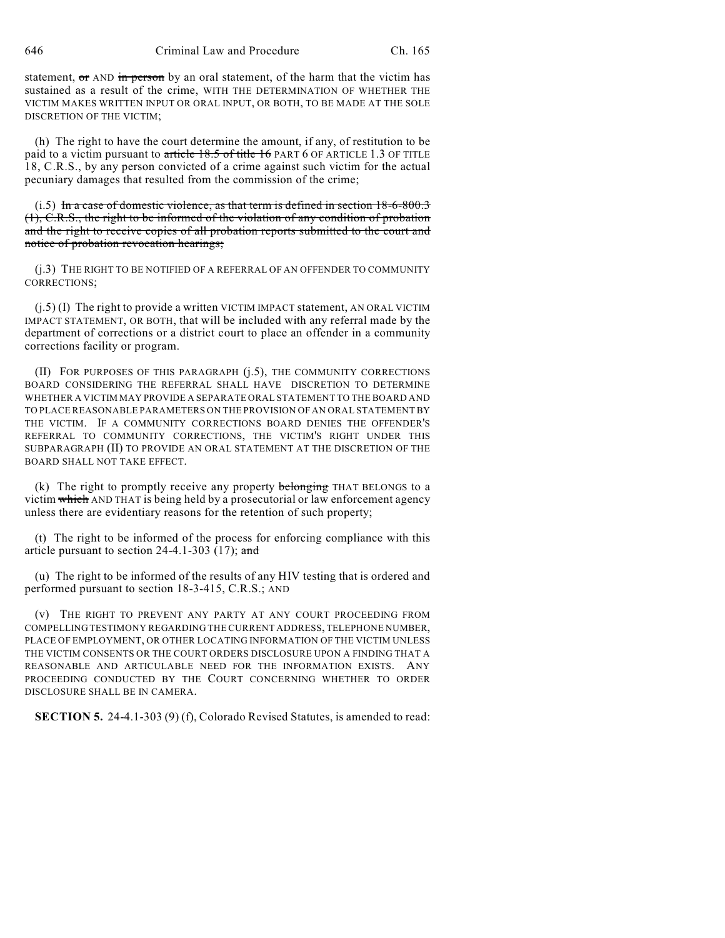646 Criminal Law and Procedure Ch. 165

statement, or AND in person by an oral statement, of the harm that the victim has sustained as a result of the crime, WITH THE DETERMINATION OF WHETHER THE VICTIM MAKES WRITTEN INPUT OR ORAL INPUT, OR BOTH, TO BE MADE AT THE SOLE DISCRETION OF THE VICTIM;

(h) The right to have the court determine the amount, if any, of restitution to be paid to a victim pursuant to article 18.5 of title 16 PART 6 OF ARTICLE 1.3 OF TITLE 18, C.R.S., by any person convicted of a crime against such victim for the actual pecuniary damages that resulted from the commission of the crime;

(i.5) In a case of domestic violence, as that term is defined in section 18-6-800.3 (1), C.R.S., the right to be informed of the violation of any condition of probation and the right to receive copies of all probation reports submitted to the court and notice of probation revocation hearings;

(j.3) THE RIGHT TO BE NOTIFIED OF A REFERRAL OF AN OFFENDER TO COMMUNITY CORRECTIONS;

 $(j.5)$  (I) The right to provide a written VICTIM IMPACT statement, AN ORAL VICTIM IMPACT STATEMENT, OR BOTH, that will be included with any referral made by the department of corrections or a district court to place an offender in a community corrections facility or program.

(II) FOR PURPOSES OF THIS PARAGRAPH (j.5), THE COMMUNITY CORRECTIONS BOARD CONSIDERING THE REFERRAL SHALL HAVE DISCRETION TO DETERMINE WHETHER A VICTIM MAY PROVIDE A SEPARATE ORAL STATEMENT TO THE BOARD AND TO PLACE REASONABLE PARAMETERS ON THE PROVISION OF AN ORAL STATEMENT BY THE VICTIM. IF A COMMUNITY CORRECTIONS BOARD DENIES THE OFFENDER'S REFERRAL TO COMMUNITY CORRECTIONS, THE VICTIM'S RIGHT UNDER THIS SUBPARAGRAPH (II) TO PROVIDE AN ORAL STATEMENT AT THE DISCRETION OF THE BOARD SHALL NOT TAKE EFFECT.

(k) The right to promptly receive any property  $\frac{1}{2}$  belonging THAT BELONGS to a victim which AND THAT is being held by a prosecutorial or law enforcement agency unless there are evidentiary reasons for the retention of such property;

(t) The right to be informed of the process for enforcing compliance with this article pursuant to section  $24-4.1-303$  (17); and

(u) The right to be informed of the results of any HIV testing that is ordered and performed pursuant to section 18-3-415, C.R.S.; AND

(v) THE RIGHT TO PREVENT ANY PARTY AT ANY COURT PROCEEDING FROM COMPELLING TESTIMONY REGARDING THE CURRENT ADDRESS, TELEPHONE NUMBER, PLACE OF EMPLOYMENT, OR OTHER LOCATING INFORMATION OF THE VICTIM UNLESS THE VICTIM CONSENTS OR THE COURT ORDERS DISCLOSURE UPON A FINDING THAT A REASONABLE AND ARTICULABLE NEED FOR THE INFORMATION EXISTS. ANY PROCEEDING CONDUCTED BY THE COURT CONCERNING WHETHER TO ORDER DISCLOSURE SHALL BE IN CAMERA.

**SECTION 5.** 24-4.1-303 (9) (f), Colorado Revised Statutes, is amended to read: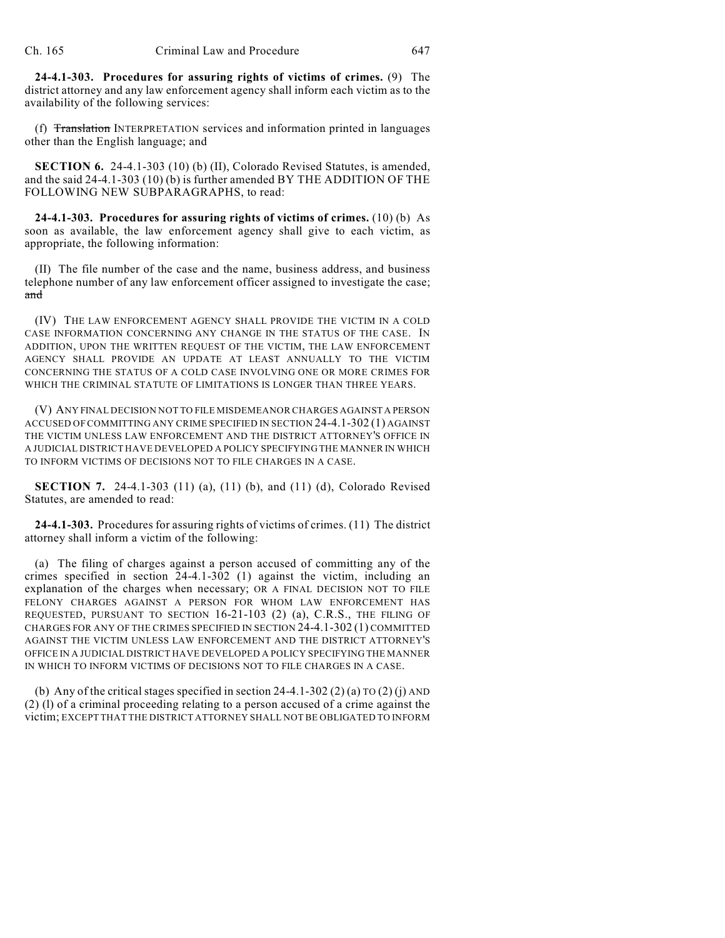**24-4.1-303. Procedures for assuring rights of victims of crimes.** (9) The district attorney and any law enforcement agency shall inform each victim as to the availability of the following services:

(f) Translation INTERPRETATION services and information printed in languages other than the English language; and

**SECTION 6.** 24-4.1-303 (10) (b) (II), Colorado Revised Statutes, is amended, and the said 24-4.1-303 (10) (b) is further amended BY THE ADDITION OF THE FOLLOWING NEW SUBPARAGRAPHS, to read:

**24-4.1-303. Procedures for assuring rights of victims of crimes.** (10) (b) As soon as available, the law enforcement agency shall give to each victim, as appropriate, the following information:

(II) The file number of the case and the name, business address, and business telephone number of any law enforcement officer assigned to investigate the case; and

(IV) THE LAW ENFORCEMENT AGENCY SHALL PROVIDE THE VICTIM IN A COLD CASE INFORMATION CONCERNING ANY CHANGE IN THE STATUS OF THE CASE. IN ADDITION, UPON THE WRITTEN REQUEST OF THE VICTIM, THE LAW ENFORCEMENT AGENCY SHALL PROVIDE AN UPDATE AT LEAST ANNUALLY TO THE VICTIM CONCERNING THE STATUS OF A COLD CASE INVOLVING ONE OR MORE CRIMES FOR WHICH THE CRIMINAL STATUTE OF LIMITATIONS IS LONGER THAN THREE YEARS.

(V) ANY FINAL DECISION NOT TO FILE MISDEMEANOR CHARGES AGAINST A PERSON ACCUSED OF COMMITTING ANY CRIME SPECIFIED IN SECTION 24-4.1-302 (1) AGAINST THE VICTIM UNLESS LAW ENFORCEMENT AND THE DISTRICT ATTORNEY'S OFFICE IN A JUDICIAL DISTRICT HAVE DEVELOPED A POLICY SPECIFYING THE MANNER IN WHICH TO INFORM VICTIMS OF DECISIONS NOT TO FILE CHARGES IN A CASE.

**SECTION 7.** 24-4.1-303 (11) (a), (11) (b), and (11) (d), Colorado Revised Statutes, are amended to read:

**24-4.1-303.** Procedures for assuring rights of victims of crimes. (11) The district attorney shall inform a victim of the following:

(a) The filing of charges against a person accused of committing any of the crimes specified in section 24-4.1-302 (1) against the victim, including an explanation of the charges when necessary; OR A FINAL DECISION NOT TO FILE FELONY CHARGES AGAINST A PERSON FOR WHOM LAW ENFORCEMENT HAS REQUESTED, PURSUANT TO SECTION 16-21-103 (2) (a), C.R.S., THE FILING OF CHARGES FOR ANY OF THE CRIMES SPECIFIED IN SECTION 24-4.1-302 (1) COMMITTED AGAINST THE VICTIM UNLESS LAW ENFORCEMENT AND THE DISTRICT ATTORNEY'S OFFICE IN A JUDICIAL DISTRICT HAVE DEVELOPED A POLICY SPECIFYING THE MANNER IN WHICH TO INFORM VICTIMS OF DECISIONS NOT TO FILE CHARGES IN A CASE.

(b) Any of the critical stages specified in section 24-4.1-302 (2) (a) TO (2) (j) AND (2) (l) of a criminal proceeding relating to a person accused of a crime against the victim; EXCEPT THAT THE DISTRICT ATTORNEY SHALL NOT BE OBLIGATED TO INFORM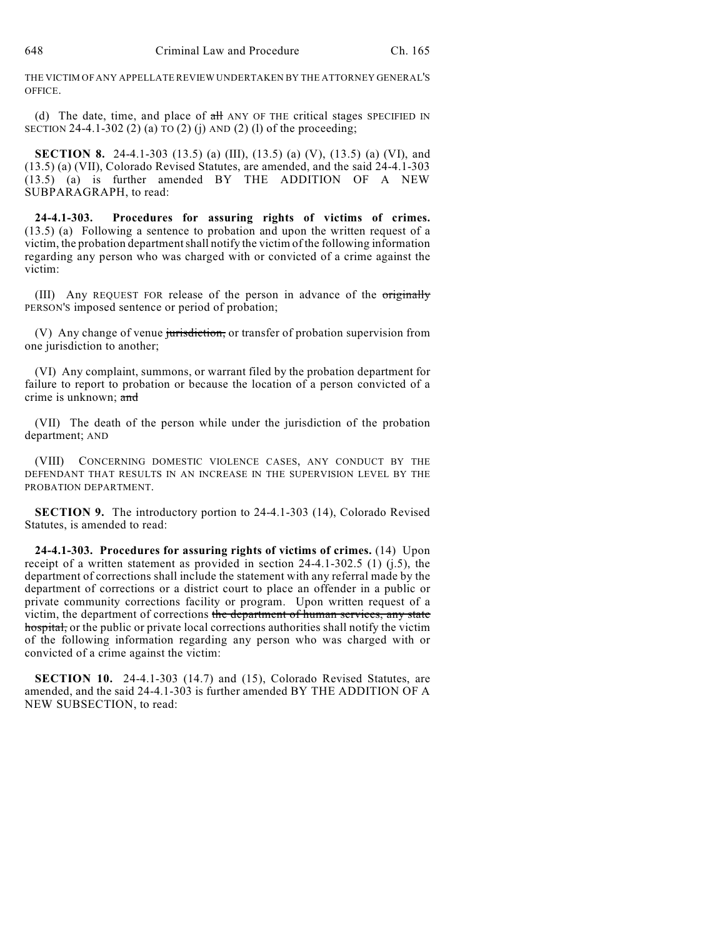THE VICTIM OF ANY APPELLATE REVIEW UNDERTAKEN BY THE ATTORNEY GENERAL'S OFFICE.

(d) The date, time, and place of  $\frac{dH}{dt}$  ANY OF THE critical stages SPECIFIED IN SECTION 24-4.1-302 (2) (a) TO (2) (j) AND (2) (l) of the proceeding;

**SECTION 8.** 24-4.1-303 (13.5) (a) (III), (13.5) (a) (V), (13.5) (a) (VI), and (13.5) (a) (VII), Colorado Revised Statutes, are amended, and the said 24-4.1-303 (13.5) (a) is further amended BY THE ADDITION OF A NEW SUBPARAGRAPH, to read:

**24-4.1-303. Procedures for assuring rights of victims of crimes.** (13.5) (a) Following a sentence to probation and upon the written request of a victim, the probation departmentshall notify the victim of the following information regarding any person who was charged with or convicted of a crime against the victim:

(III) Any REQUEST FOR release of the person in advance of the originally PERSON'S imposed sentence or period of probation;

(V) Any change of venue jurisdiction, or transfer of probation supervision from one jurisdiction to another;

(VI) Any complaint, summons, or warrant filed by the probation department for failure to report to probation or because the location of a person convicted of a crime is unknown; and

(VII) The death of the person while under the jurisdiction of the probation department; AND

(VIII) CONCERNING DOMESTIC VIOLENCE CASES, ANY CONDUCT BY THE DEFENDANT THAT RESULTS IN AN INCREASE IN THE SUPERVISION LEVEL BY THE PROBATION DEPARTMENT.

**SECTION 9.** The introductory portion to 24-4.1-303 (14), Colorado Revised Statutes, is amended to read:

**24-4.1-303. Procedures for assuring rights of victims of crimes.** (14) Upon receipt of a written statement as provided in section 24-4.1-302.5 (1) (j.5), the department of corrections shall include the statement with any referral made by the department of corrections or a district court to place an offender in a public or private community corrections facility or program. Upon written request of a victim, the department of corrections the department of human services, any state hospital, or the public or private local corrections authorities shall notify the victim of the following information regarding any person who was charged with or convicted of a crime against the victim:

**SECTION 10.** 24-4.1-303 (14.7) and (15), Colorado Revised Statutes, are amended, and the said 24-4.1-303 is further amended BY THE ADDITION OF A NEW SUBSECTION, to read: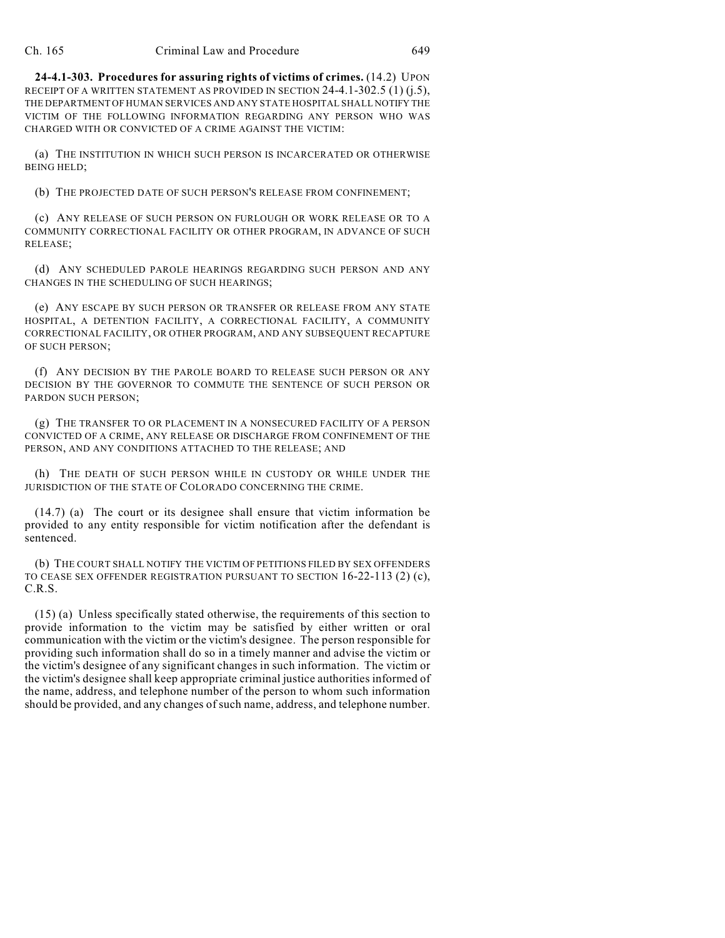**24-4.1-303. Procedures for assuring rights of victims of crimes.** (14.2) UPON RECEIPT OF A WRITTEN STATEMENT AS PROVIDED IN SECTION 24-4.1-302.5 (1) (j.5), THE DEPARTMENT OF HUMAN SERVICES AND ANY STATE HOSPITAL SHALL NOTIFY THE VICTIM OF THE FOLLOWING INFORMATION REGARDING ANY PERSON WHO WAS CHARGED WITH OR CONVICTED OF A CRIME AGAINST THE VICTIM:

(a) THE INSTITUTION IN WHICH SUCH PERSON IS INCARCERATED OR OTHERWISE BEING HELD;

(b) THE PROJECTED DATE OF SUCH PERSON'S RELEASE FROM CONFINEMENT;

(c) ANY RELEASE OF SUCH PERSON ON FURLOUGH OR WORK RELEASE OR TO A COMMUNITY CORRECTIONAL FACILITY OR OTHER PROGRAM, IN ADVANCE OF SUCH RELEASE;

(d) ANY SCHEDULED PAROLE HEARINGS REGARDING SUCH PERSON AND ANY CHANGES IN THE SCHEDULING OF SUCH HEARINGS;

(e) ANY ESCAPE BY SUCH PERSON OR TRANSFER OR RELEASE FROM ANY STATE HOSPITAL, A DETENTION FACILITY, A CORRECTIONAL FACILITY, A COMMUNITY CORRECTIONAL FACILITY, OR OTHER PROGRAM, AND ANY SUBSEQUENT RECAPTURE OF SUCH PERSON;

(f) ANY DECISION BY THE PAROLE BOARD TO RELEASE SUCH PERSON OR ANY DECISION BY THE GOVERNOR TO COMMUTE THE SENTENCE OF SUCH PERSON OR PARDON SUCH PERSON;

(g) THE TRANSFER TO OR PLACEMENT IN A NONSECURED FACILITY OF A PERSON CONVICTED OF A CRIME, ANY RELEASE OR DISCHARGE FROM CONFINEMENT OF THE PERSON, AND ANY CONDITIONS ATTACHED TO THE RELEASE; AND

(h) THE DEATH OF SUCH PERSON WHILE IN CUSTODY OR WHILE UNDER THE JURISDICTION OF THE STATE OF COLORADO CONCERNING THE CRIME.

(14.7) (a) The court or its designee shall ensure that victim information be provided to any entity responsible for victim notification after the defendant is sentenced.

(b) THE COURT SHALL NOTIFY THE VICTIM OF PETITIONS FILED BY SEX OFFENDERS TO CEASE SEX OFFENDER REGISTRATION PURSUANT TO SECTION 16-22-113 (2) (c), C.R.S.

(15) (a) Unless specifically stated otherwise, the requirements of this section to provide information to the victim may be satisfied by either written or oral communication with the victim or the victim's designee. The person responsible for providing such information shall do so in a timely manner and advise the victim or the victim's designee of any significant changes in such information. The victim or the victim's designee shall keep appropriate criminal justice authorities informed of the name, address, and telephone number of the person to whom such information should be provided, and any changes of such name, address, and telephone number.